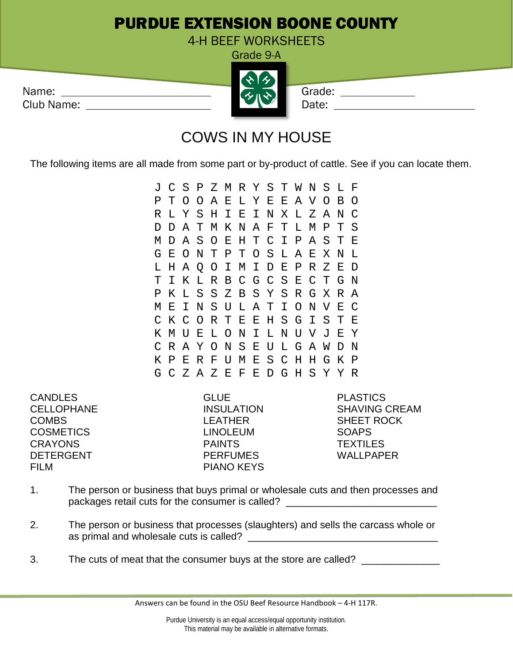## PURDUE EXTENSION BOONE COUNTY

4-H BEEF WORKSHEETS Grade 9-A

|            | $\mathbf{z}$ |        |
|------------|--------------|--------|
| Name:      | ・ハタ          | Grade: |
| Club Name: |              | Date:  |
|            |              |        |

## COWS IN MY HOUSE

The following items are all made from some part or by-product of cattle. See if you can locate them.

J C S P Z M R Y S T W N S L F P T O O A E L Y E E A V O B O R L Y S H I E I N X L Z A N C D D A T M K N A F T L M P T S M D A S O E H T C I P A S T E G E O N T P T O S L A E X N L L H A Q O I M I D E P R Z E D T I K L R B C G C S E C T G N P K L S S Z B S Y S R G X R A M E I N S U L A T I O N V E C C K C O R T E E H S G I S T E K M U E L O N I L N U V J E Y C R A Y O N S E U L G A W D N K P E R F U M E S C H H G K P G C Z A Z E F E D G H S Y Y R

CANDLES GLUE CANDLES COMBS LEATHER SHEET ROCK COSMETICS LINOLEUM SOAPS CRAYONS PAINTS TEXTILES DETERGENT PERFUMES WALLPAPER FILM PIANO KEYS

CELLOPHANE INSULATION SHAVING CREAM

- 1. The person or business that buys primal or wholesale cuts and then processes and packages retail cuts for the consumer is called?
- 2. The person or business that processes (slaughters) and sells the carcass whole or as primal and wholesale cuts is called? \_\_\_\_\_\_\_\_\_\_\_\_\_\_\_\_\_\_\_\_\_\_\_\_\_\_\_\_\_\_\_\_\_\_
- 3. The cuts of meat that the consumer buys at the store are called?

Answers can be found in the OSU Beef Resource Handbook – 4-H 117R.